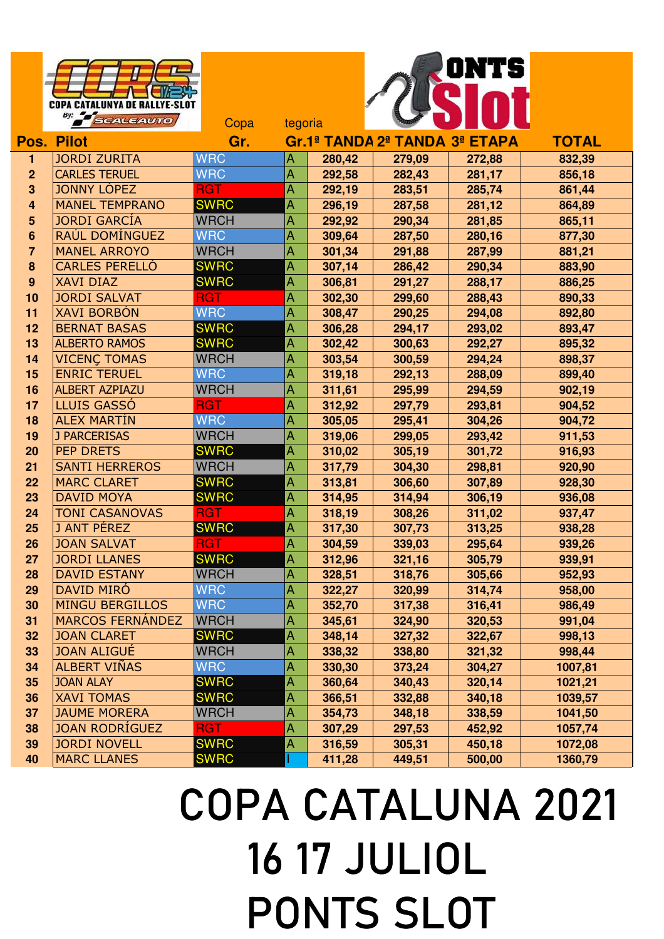## ONTS **COPA CATALUNYA DE RALLYE-SLOT** By: SCALEAUTO Copa tegoria **Pos. Pilot Gr. Gr.1ª TANDA2ª TANDA 3ª ETAPA TOTAL** JORDI ZURITA WRC A **280,42 279,09 272,88 832,39** CARLES TERUEL WRC A **292,58 282,43 281,17 856,18** JONNY LÓPEZ RGT RGT A 292,19 283,51 285,74 861,44 MANEL TEMPRANO SWRC A **296,19 287,58 281,12 864,89** JORDI GARCÍA WRCH A **292,92 290,34 281,85 865,11** RAÚL DOMÍNGUEZ WRC A **309,64 287,50 280,16 877,30** MANEL ARROYO WRCH A **301,34 291,88 287,99 881,21** CARLES PERELLÓ SWRC A **307,14 286,42 290,34 883,90** XAVI DIAZ SWRC A **306,81 291,27 288,17 886,25** JORDI SALVAT RGT A **302,30 299,60 288,43 890,33** XAVI BORBÓN WRC A **308,47 290,25 294,08 892,80** BERNAT BASAS SWRC A **306,28 294,17 293,02 893,47** ALBERTO RAMOS SWRC A **302,42 300,63 292,27 895,32** 14 VICENÇ TOMAS WRCH A 303,54 300,59 294,24 898,37 ENRIC TERUEL WRC A **319,18 292,13 288,09 899,40** ALBERT AZPIAZU WRCH A **311,61 295,99 294,59 902,19** LLUIS GASSÓ RGT A **312,92 297,79 293,81 904,52** ALEX MARTÍN WRC A **305,05 295,41 304,26 904,72** J PARCERISAS WRCH A **319,06 299,05 293,42 911,53** PEP DRETS SWRC A **310,02 305,19 301,72 916,93** SANTI HERREROS WRCH A **317,79 304,30 298,81 920,90** MARC CLARET SWRC A **313,81 306,60 307,89 928,30** DAVID MOYA SWRC A **314,95 314,94 306,19 936,08 24 TONI CASANOVAS RGT A 318,19 308,26 311,02 937,47**  J ANT PÉREZ SWRC A **317,30 307,73 313,25 938,28** JOAN SALVAT RGT A **304,59 339,03 295,64 939,26** JORDI LLANES SWRC A **312,96 321,16 305,79 939,91** DAVID ESTANY WRCH A **328,51 318,76 305,66 952,93** DAVID MIRÓ WRC A **322,27 320,99 314,74 958,00** MINGU BERGILLOS WRC A 352,70 317,38 316,41 986,49 MARCOS FERNÁNDEZ WRCH A **345,61 324,90 320,53 991,04 32 JOAN CLARET SWRC A 348,14 327,32 322,67 998,13**  JOAN ALIGUÉ WRCH A **338,32 338,80 321,32 998,44**  ALBERT VIÑAS WRC A **330,30 373,24 304,27 1007,81** JOAN ALAY SWRC A **360,64 340,43 320,14 1021,21** XAVI TOMAS SWRC A **366,51 332,88 340,18 1039,57** JAUME MORERA WRCH A **354,73 348,18 338,59 1041,50** JOAN RODRÍGUEZ RGT A **307,29 297,53 452,92 1057,74** JORDI NOVELL SWRC A **316,59 305,31 450,18 1072,08** MARC LLANES SWRC I **411,28 449,51 500,00 1360,79**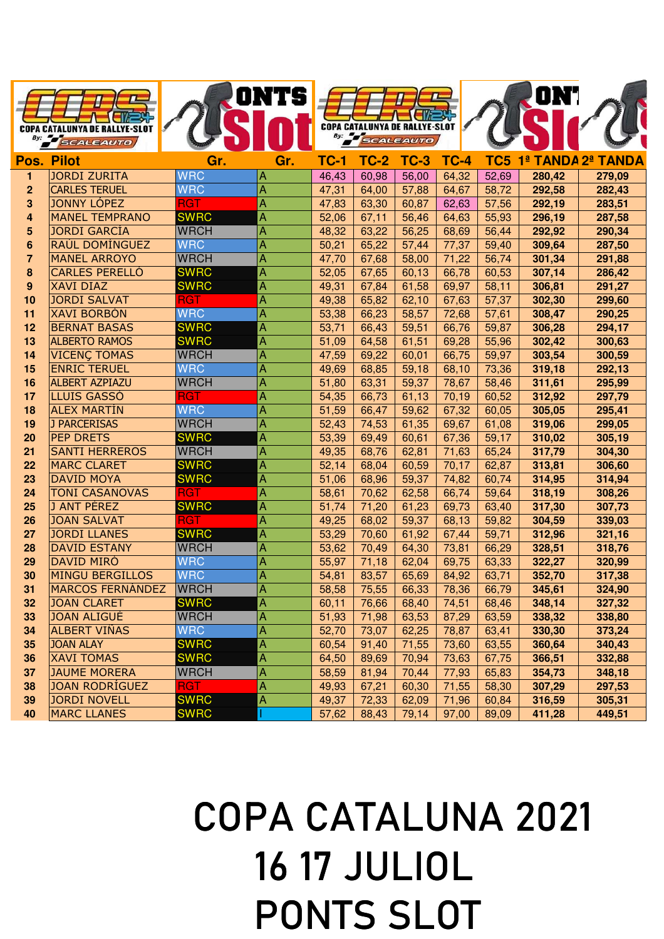|                     | <b>COPA CATALUNYA DE RALLYE-SLOT</b><br>SCALEAUTO |                            | <b>ONTS</b>    |                | By: SCALEAUTO  | <b>COPA CATALUNYA DE RALLYE-SLOT</b> |                |                 | ON'I             |                       |
|---------------------|---------------------------------------------------|----------------------------|----------------|----------------|----------------|--------------------------------------|----------------|-----------------|------------------|-----------------------|
|                     | <b>Pos. Pilot</b>                                 | Gr.                        | Gr.            | <b>TC-1</b>    | <b>TC-2</b>    | <b>TC-3</b>                          | <b>TC-4</b>    | TC <sub>5</sub> | 1 <sup>a</sup>   | <b>TANDA 2ª TANDA</b> |
| 1                   | <b>JORDI ZURITA</b>                               | <b>WRC</b>                 | Α              | 46,43          | 60,98          | 56,00                                | 64,32          | 52,69           | 280,42           | 279,09                |
| $\overline{2}$      | <b>CARLES TERUEL</b>                              | <b>WRC</b>                 | A              | 47,31          | 64,00          | 57,88                                | 64,67          | 58,72           | 292,58           | 282,43                |
| 3                   | <b>JONNY LÓPEZ</b>                                | <b>RGT</b>                 | A              | 47,83          | 63,30          | 60,87                                | 62,63          | 57,56           | 292,19           | 283,51                |
| 4                   | <b>MANEL TEMPRANO</b><br><b>JORDI GARCÍA</b>      | <b>SWRC</b><br><b>WRCH</b> | Α              | 52,06          | 67,11          | 56,46                                | 64,63          | 55,93           | 296,19           | 287,58                |
| 5<br>$6\phantom{1}$ | RAÚL DOMÍNGUEZ                                    | <b>WRC</b>                 | Α<br>Α         | 48,32<br>50,21 | 63,22<br>65,22 | 56,25<br>57,44                       | 68,69<br>77,37 | 56,44<br>59,40  | 292,92<br>309,64 | 290,34<br>287,50      |
| $\overline{7}$      | <b>MANEL ARROYO</b>                               | <b>WRCH</b>                | Α              | 47,70          | 67,68          | 58,00                                | 71,22          | 56,74           | 301,34           | 291,88                |
| 8                   | <b>CARLES PERELLÓ</b>                             | <b>SWRC</b>                | A              | 52,05          | 67,65          | 60,13                                | 66,78          | 60,53           | 307,14           | 286,42                |
| $\boldsymbol{9}$    | <b>XAVI DIAZ</b>                                  | <b>SWRC</b>                | A              | 49,31          | 67,84          | 61,58                                | 69,97          | 58,11           | 306,81           | 291,27                |
| 10                  | <b>JORDI SALVAT</b>                               | RGT                        | Α              | 49,38          | 65,82          | 62,10                                | 67,63          | 57,37           | 302,30           | 299,60                |
| 11                  | <b>XAVI BORBÓN</b>                                | <b>WRC</b>                 | A              | 53,38          | 66,23          | 58,57                                | 72,68          | 57,61           | 308,47           | 290,25                |
| 12                  | <b>BERNAT BASAS</b>                               | <b>SWRC</b>                | A              | 53,71          | 66,43          | 59,51                                | 66,76          | 59,87           | 306,28           | 294,17                |
| 13                  | <b>ALBERTO RAMOS</b>                              | <b>SWRC</b>                | A              | 51,09          | 64,58          | 61,51                                | 69,28          | 55,96           | 302,42           | 300,63                |
| 14                  | <b>VICENÇ TOMAS</b>                               | <b>WRCH</b>                | Α              | 47,59          | 69,22          | 60,01                                | 66,75          | 59,97           | 303,54           | 300,59                |
| 15                  | <b>ENRIC TERUEL</b>                               | <b>WRC</b>                 | A              | 49,69          | 68,85          | 59,18                                | 68,10          | 73,36           | 319,18           | 292,13                |
| 16                  | <b>ALBERT AZPIAZU</b>                             | <b>WRCH</b>                | A              | 51,80          | 63,31          | 59,37                                | 78,67          | 58,46           | 311,61           | 295,99                |
| 17                  | <b>LLUIS GASSÓ</b>                                | <b>RGT</b>                 | Α              | 54,35          | 66,73          | 61,13                                | 70,19          | 60,52           | 312,92           | 297,79                |
| 18                  | <b>ALEX MARTIN</b>                                | <b>WRC</b>                 | A              | 51,59          | 66,47          | 59,62                                | 67,32          | 60,05           | 305,05           | 295,41                |
| 19                  | <b>J PARCERISAS</b>                               | <b>WRCH</b>                | A              | 52,43          | 74,53          | 61,35                                | 69,67          | 61,08           | 319,06           | 299,05                |
| 20                  | <b>PEP DRETS</b>                                  | <b>SWRC</b>                | A              | 53,39          | 69,49          | 60,61                                | 67,36          | 59,17           | 310,02           | 305,19                |
| 21                  | <b>SANTI HERREROS</b>                             | <b>WRCH</b>                | Α              | 49,35          | 68,76          | 62,81                                | 71,63          | 65,24           | 317,79           | 304,30                |
| 22                  | <b>MARC CLARET</b>                                | <b>SWRC</b>                | A              | 52,14          | 68,04          | 60,59                                | 70,17          | 62,87           | 313,81           | 306,60                |
| 23                  | <b>DAVID MOYA</b>                                 | <b>SWRC</b>                | A              | 51,06          | 68,96          | 59,37                                | 74,82          | 60,74           | 314,95           | 314,94                |
| 24                  | <b>TONI CASANOVAS</b>                             | <b>RGT</b>                 | A              | 58,61          | 70,62          | 62,58                                | 66,74          | 59,64           | 318,19           | 308,26                |
| 25<br>26            | J ANT PÉREZ<br><b>JOAN SALVAT</b>                 | <b>SWRC</b><br><b>RGT</b>  | A              | 51,74          | 71,20          | 61,23                                | 69,73          | 63,40           | 317,30           | 307,73                |
| 27                  | <b>JORDI LLANES</b>                               | <b>SWRC</b>                | Α<br>A         | 49,25<br>53,29 | 68,02<br>70,60 | 59,37<br>61,92                       | 68,13<br>67,44 | 59,82<br>59,71  | 304,59<br>312,96 | 339,03<br>321,16      |
| 28                  | <b>DAVID ESTANY</b>                               | <b>WRCH</b>                | A              | 53,62          | 70,49          | 64,30                                | 73,81          | 66,29           | 328,51           | 318,76                |
| 29                  | <b>DAVID MIRÓ</b>                                 | <b>WRC</b>                 | A              | 55,97          | 71,18          | 62,04                                | 69,75          | 63,33           | 322,27           | 320,99                |
| 30                  | <b>MINGU BERGILLOS</b>                            | <b>WRC</b>                 | $\overline{A}$ | 54,81          | 83,57          | 65,69                                | 84,92          | 63,71           | 352,70           | 317,38                |
| 31                  | <b>MARCOS FERNÁNDEZ</b>                           | <b>WRCH</b>                | A              | 58,58          | 75,55          | 66,33                                | 78,36          | 66,79           | 345,61           | 324,90                |
| 32                  | <b>JOAN CLARET</b>                                | <b>SWRC</b>                | A              | 60,11          | 76,66          | 68,40                                | 74,51          | 68,46           | 348,14           | 327,32                |
| 33                  | <b>JOAN ALIGUÉ</b>                                | <b>WRCH</b>                | Α              | 51,93          | 71,98          | 63,53                                | 87,29          | 63,59           | 338,32           | 338,80                |
| 34                  | ALBERT VIÑAS                                      | <b>WRC</b>                 | A              | 52,70          | 73,07          | 62,25                                | 78,87          | 63,41           | 330,30           | 373,24                |
| 35                  | <b>JOAN ALAY</b>                                  | <b>SWRC</b>                | A              | 60,54          | 91,40          | 71,55                                | 73,60          | 63,55           | 360,64           | 340,43                |
| 36                  | <b>XAVI TOMAS</b>                                 | <b>SWRC</b>                | $\overline{A}$ | 64,50          | 89,69          | 70,94                                | 73,63          | 67,75           | 366,51           | 332,88                |
| 37                  | <b>JAUME MORERA</b>                               | <b>WRCH</b>                | A              | 58,59          | 81,94          | 70,44                                | 77,93          | 65,83           | 354,73           | 348,18                |
| 38                  | <b>JOAN RODRÍGUEZ</b>                             | <b>RGT</b>                 | Α              | 49,93          | 67,21          | 60,30                                | 71,55          | 58,30           | 307,29           | 297,53                |
| 39                  | <b>JORDI NOVELL</b>                               | <b>SWRC</b>                | A              | 49,37          | 72,33          | 62,09                                | 71,96          | 60,84           | 316,59           | 305,31                |
| 40                  | <b>MARC LLANES</b>                                | <b>SWRC</b>                |                | 57,62          | 88,43          | 79,14                                | 97,00          | 89,09           | 411,28           | 449,51                |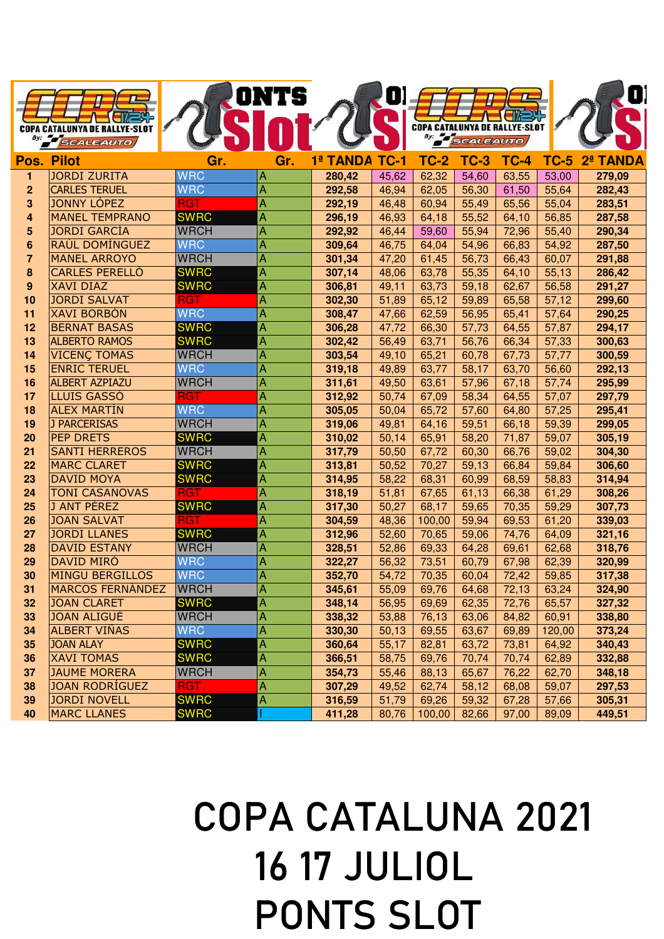|                  |                                             |                            | ONTS           |                  | U)             |                                      |                  |                |                |                  |
|------------------|---------------------------------------------|----------------------------|----------------|------------------|----------------|--------------------------------------|------------------|----------------|----------------|------------------|
|                  |                                             |                            |                |                  |                |                                      |                  |                |                |                  |
|                  | <b>COPA CATALUNYA DE RALLYE-SLOT</b>        |                            |                |                  |                | <b>COPA CATALUNYA DE RALLYE-SLOT</b> |                  |                |                |                  |
|                  | <b>SCALEAUTO</b>                            |                            |                |                  |                |                                      | <b>SCALEAUTO</b> |                |                |                  |
|                  | <b>Pos. Pilot</b>                           | Gr.                        | Gr.            | 1ª TANDA         | <b>TC-1</b>    | <b>TC-2</b>                          | $TC-3$           | <b>TC-4</b>    | <b>TC-5</b>    | 2ª TANDA         |
| 1                | <b>JORDI ZURITA</b>                         | <b>WRC</b>                 | Α              | 280,42           | 45,62          | 62,32                                | 54,60            | 63,55          | 53,00          | 279,09           |
| $\mathbf{2}$     | <b>CARLES TERUEL</b>                        | <b>WRC</b>                 | Α              | 292,58           | 46,94          | 62,05                                | 56,30            | 61,50          | 55,64          | 282,43           |
| 3                | <b>JONNY LÓPEZ</b>                          | <b>RGT</b>                 | A              | 292,19           | 46,48          | 60,94                                | 55,49            | 65,56          | 55,04          | 283,51           |
| 4                | <b>MANEL TEMPRANO</b>                       | <b>SWRC</b>                | Α              | 296,19           | 46,93          | 64,18                                | 55,52            | 64,10          | 56,85          | 287,58           |
| 5                | <b>JORDI GARCÍA</b>                         | <b>WRCH</b>                | A              | 292,92           | 46,44          | 59,60                                | 55,94            | 72,96          | 55,40          | 290,34           |
| 6                | RAÚL DOMÍNGUEZ                              | <b>WRC</b>                 | A              | 309,64           | 46,75          | 64,04                                | 54,96            | 66,83          | 54,92          | 287,50           |
| $\overline{7}$   | <b>MANEL ARROYO</b>                         | <b>WRCH</b>                | Α              | 301,34           | 47,20          | 61,45                                | 56,73            | 66,43          | 60,07          | 291,88           |
| 8                | <b>CARLES PERELLÓ</b>                       | <b>SWRC</b>                | A              | 307,14           | 48,06          | 63,78                                | 55,35            | 64,10          | 55,13          | 286,42           |
| $\boldsymbol{9}$ | <b>XAVI DIAZ</b>                            | <b>SWRC</b>                | A              | 306,81           | 49,11          | 63,73                                | 59,18            | 62,67          | 56,58          | 291,27           |
| 10               | <b>JORDI SALVAT</b>                         | <b>RGT</b>                 | A              | 302,30           | 51,89          | 65,12                                | 59,89            | 65,58          | 57,12          | 299,60           |
| 11               | <b>XAVI BORBÓN</b>                          | <b>WRC</b>                 | A              | 308,47           | 47,66          | 62,59                                | 56,95            | 65,41          | 57,64          | 290,25           |
| 12               | <b>BERNAT BASAS</b><br><b>ALBERTO RAMOS</b> | <b>SWRC</b>                | A              | 306,28           | 47,72          | 66,30                                | 57,73            | 64,55          | 57,87          | 294,17           |
| 13<br>14         | <b>VICENÇ TOMAS</b>                         | <b>SWRC</b><br><b>WRCH</b> | A<br>Α         | 302,42           | 56,49          | 63,71                                | 56,76            | 66,34          | 57,33          | 300,63           |
| 15               | <b>ENRIC TERUEL</b>                         | <b>WRC</b>                 | A              | 303,54<br>319,18 | 49,10<br>49,89 | 65,21<br>63,77                       | 60,78<br>58,17   | 67,73<br>63,70 | 57,77<br>56,60 | 300,59<br>292,13 |
| 16               | <b>ALBERT AZPIAZU</b>                       | <b>WRCH</b>                | Α              | 311,61           | 49,50          | 63,61                                | 57,96            | 67,18          | 57,74          | 295,99           |
| 17               | LLUIS GASSÓ                                 | <b>RGT</b>                 | A              | 312,92           | 50,74          | 67,09                                | 58,34            | 64,55          | 57,07          | 297,79           |
| 18               | <b>ALEX MARTIN</b>                          | <b>WRC</b>                 | A              | 305,05           | 50,04          | 65,72                                | 57,60            | 64,80          | 57,25          | 295,41           |
| 19               | J PARCERISAS                                | <b>WRCH</b>                | A              | 319,06           | 49,81          | 64,16                                | 59,51            | 66,18          | 59,39          | 299,05           |
| 20               | <b>PEP DRETS</b>                            | <b>SWRC</b>                | A              | 310,02           | 50,14          | 65,91                                | 58,20            | 71,87          | 59,07          | 305,19           |
| 21               | <b>SANTI HERREROS</b>                       | <b>WRCH</b>                | A              | 317,79           | 50,50          | 67,72                                | 60,30            | 66,76          | 59,02          | 304,30           |
| 22               | <b>MARC CLARET</b>                          | <b>SWRC</b>                | Α              | 313,81           | 50,52          | 70,27                                | 59,13            | 66,84          | 59,84          | 306,60           |
| 23               | <b>DAVID MOYA</b>                           | <b>SWRC</b>                | A              | 314,95           | 58,22          | 68,31                                | 60,99            | 68,59          | 58,83          | 314,94           |
| 24               | <b>TONI CASANOVAS</b>                       | <b>RGT</b>                 | Α              | 318,19           | 51,81          | 67,65                                | 61,13            | 66,38          | 61,29          | 308,26           |
| 25               | J ANT PÉREZ                                 | <b>SWRC</b>                | A              | 317,30           | 50,27          | 68,17                                | 59,65            | 70,35          | 59,29          | 307,73           |
| 26               | <b>JOAN SALVAT</b>                          | <b>RGT</b>                 | $\overline{A}$ | 304,59           | 48,36          | 100,00                               | 59,94            | 69,53          | 61,20          | 339,03           |
| 27               | <b>JORDI LLANES</b>                         | <b>SWRC</b>                | Α              | 312,96           | 52,60          | 70,65                                | 59,06            | 74,76          | 64,09          | 321,16           |
| 28               | <b>DAVID ESTANY</b>                         | <b>WRCH</b>                | Α              | 328,51           | 52,86          | 69,33                                | 64,28            | 69,61          | 62,68          | 318,76           |
| 29               | <b>DAVID MIRÓ</b>                           | <b>WRC</b>                 | A              | 322,27           | 56,32          | 73,51                                | 60,79            | 67,98          | 62,39          | 320,99           |
| 30               | <b>MINGU BERGILLOS</b>                      | <b>WRC</b>                 | $\mathsf{A}$   | 352,70           | 54,72          | 70,35                                | 60,04            | 72,42          | 59,85          | 317,38           |
| 31               | <b>MARCOS FERNANDEZ</b>                     | <b>WRCH</b>                | $\overline{A}$ | 345,61           | 55,09          | 69,76                                | 64,68            | 72,13          | 63,24          | 324,90           |
| 32               | <b>JOAN CLARET</b>                          | <b>SWRC</b>                | Α              | 348,14           | 56,95          | 69,69                                | 62,35            | 72,76          | 65,57          | 327,32           |
| 33               | <b>JOAN ALIGUE</b>                          | <b>WRCH</b>                | A              | 338,32           | 53,88          | 76,13                                | 63,06            | 84,82          | 60,91          | 338,80           |
| 34               | ALBERT VIÑAS                                | <b>WRC</b>                 | A              | 330,30           | 50,13          | 69,55                                | 63,67            | 69,89          | 120,00         | 373,24           |
| 35               | <b>JOAN ALAY</b>                            | <b>SWRC</b>                | A              | 360,64           | 55,17          | 82,81                                | 63,72            | 73,81          | 64,92          | 340,43           |
| 36               | <b>XAVI TOMAS</b>                           | <b>SWRC</b>                | A              | 366,51           | 58,75          | 69,76                                | 70,74            | 70,74          | 62,89          | 332,88           |
| 37               | <b>JAUME MORERA</b>                         | <b>WRCH</b>                | A              | 354,73           | 55,46          | 88,13                                | 65,67            | 76,22          | 62,70          | 348,18           |
| 38               | <b>JOAN RODRÍGUEZ</b>                       | <b>RGT</b>                 | $\overline{A}$ | 307,29           | 49,52          | 62,74                                | 58,12            | 68,08          | 59,07          | 297,53           |
| 39               | JORDI NOVELL                                | <b>SWRC</b>                | A              | 316,59           | 51,79          | 69,26                                | 59,32            | 67,28          | 57,66          | 305,31           |
| 40               | <b>MARC LLANES</b>                          | <b>SWRC</b>                |                | 411,28           | 80,76          | 100,00                               | 82,66            | 97,00          | 89,09          | 449,51           |